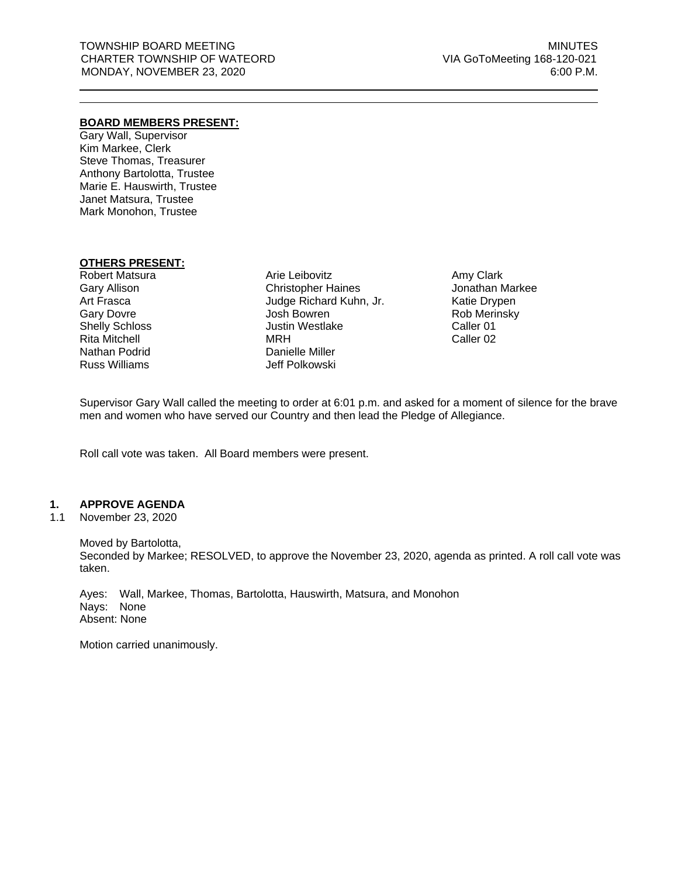# **BOARD MEMBERS PRESENT:**

Gary Wall, Supervisor Kim Markee, Clerk Steve Thomas, Treasurer Anthony Bartolotta, Trustee Marie E. Hauswirth, Trustee Janet Matsura, Trustee Mark Monohon, Trustee

# **OTHERS PRESENT:**

Robert Matsura Gary Allison Art Frasca Gary Dovre Shelly Schloss Rita Mitchell Nathan Podrid Russ Williams

Arie Leibovitz Christopher Haines Judge Richard Kuhn, Jr. Josh Bowren Justin Westlake MRH Danielle Miller Jeff Polkowski

Amy Clark Jonathan Markee Katie Drypen Rob Merinsky Caller 01 Caller 02

Supervisor Gary Wall called the meeting to order at 6:01 p.m. and asked for a moment of silence for the brave men and women who have served our Country and then lead the Pledge of Allegiance.

Roll call vote was taken. All Board members were present.

#### **1. APPROVE AGENDA**

1.1 November 23, 2020

Moved by Bartolotta, Seconded by Markee; RESOLVED, to approve the November 23, 2020, agenda as printed. A roll call vote was taken.

Ayes: Wall, Markee, Thomas, Bartolotta, Hauswirth, Matsura, and Monohon Nays: None Absent: None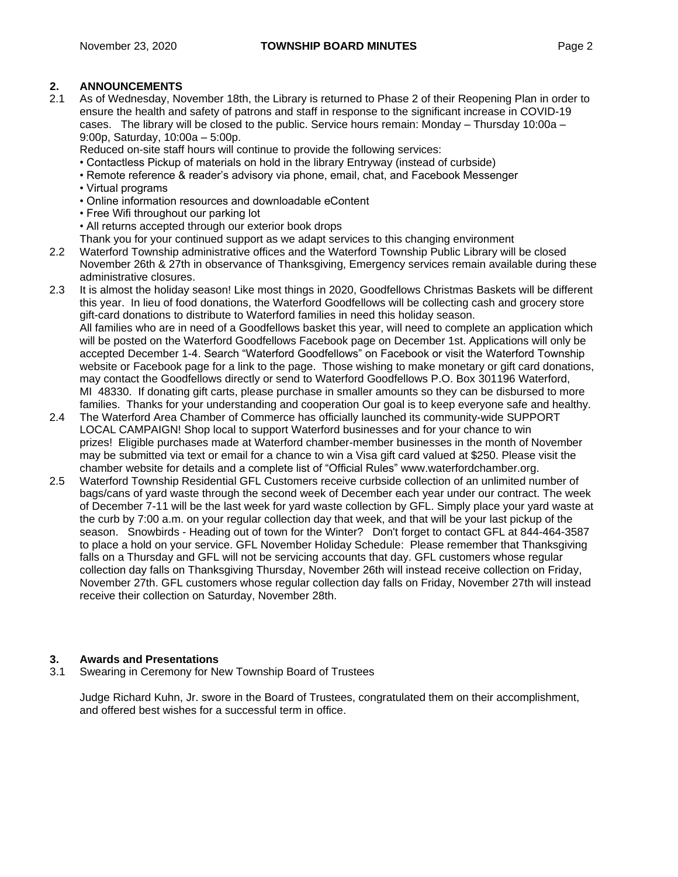# **2. ANNOUNCEMENTS**

2.1 As of Wednesday, November 18th, the Library is returned to Phase 2 of their Reopening Plan in order to ensure the health and safety of patrons and staff in response to the significant increase in COVID-19 cases. The library will be closed to the public. Service hours remain: Monday – Thursday 10:00a – 9:00p, Saturday, 10:00a – 5:00p.

Reduced on-site staff hours will continue to provide the following services:

- Contactless Pickup of materials on hold in the library Entryway (instead of curbside)
- Remote reference & reader's advisory via phone, email, chat, and Facebook Messenger
- Virtual programs
- Online information resources and downloadable eContent
- Free Wifi throughout our parking lot
- All returns accepted through our exterior book drops
- Thank you for your continued support as we adapt services to this changing environment
- 2.2 Waterford Township administrative offices and the Waterford Township Public Library will be closed November 26th & 27th in observance of Thanksgiving, Emergency services remain available during these administrative closures.
- 2.3 It is almost the holiday season! Like most things in 2020, Goodfellows Christmas Baskets will be different this year. In lieu of food donations, the Waterford Goodfellows will be collecting cash and grocery store gift-card donations to distribute to Waterford families in need this holiday season. All families who are in need of a Goodfellows basket this year, will need to complete an application which will be posted on the Waterford Goodfellows Facebook page on December 1st. Applications will only be accepted December 1-4. Search "Waterford Goodfellows" on Facebook or visit the Waterford Township website or Facebook page for a link to the page. Those wishing to make monetary or gift card donations, may contact the Goodfellows directly or send to Waterford Goodfellows P.O. Box 301196 Waterford, MI 48330. If donating gift carts, please purchase in smaller amounts so they can be disbursed to more families. Thanks for your understanding and cooperation Our goal is to keep everyone safe and healthy.
- 2.4 The Waterford Area Chamber of Commerce has officially launched its community-wide SUPPORT LOCAL CAMPAIGN! Shop local to support Waterford businesses and for your chance to win prizes! Eligible purchases made at Waterford chamber-member businesses in the month of November may be submitted via text or email for a chance to win a Visa gift card valued at \$250. Please visit the chamber website for details and a complete list of "Official Rules" [www.waterfordchamber.org.](http://www.waterfordchamber.org/)
- 2.5 Waterford Township Residential GFL Customers receive curbside collection of an unlimited number of bags/cans of yard waste through the second week of December each year under our contract. The week of December 7-11 will be the last week for yard waste collection by GFL. Simply place your yard waste at the curb by 7:00 a.m. on your regular collection day that week, and that will be your last pickup of the season. Snowbirds - Heading out of town for the Winter? Don't forget to contact GFL at 844-464-3587 to place a hold on your service. GFL November Holiday Schedule: Please remember that Thanksgiving falls on a Thursday and GFL will not be servicing accounts that day. GFL customers whose regular collection day falls on Thanksgiving Thursday, November 26th will instead receive collection on Friday, November 27th. GFL customers whose regular collection day falls on Friday, November 27th will instead receive their collection on Saturday, November 28th.

# **3. Awards and Presentations**

3.1 Swearing in Ceremony for New Township Board of Trustees

Judge Richard Kuhn, Jr. swore in the Board of Trustees, congratulated them on their accomplishment, and offered best wishes for a successful term in office.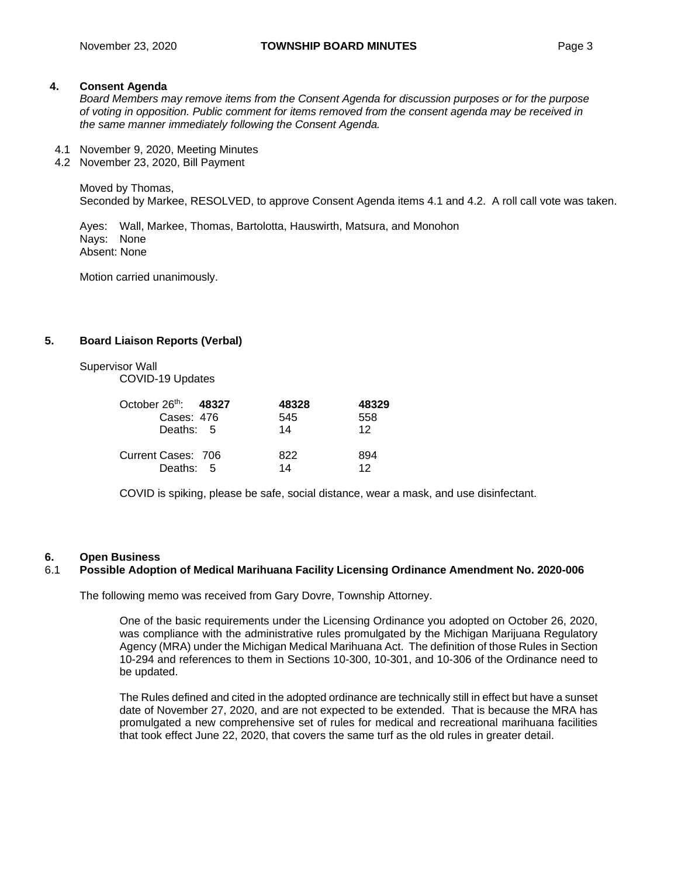# **4. Consent Agenda**

*Board Members may remove items from the Consent Agenda for discussion purposes or for the purpose of voting in opposition. Public comment for items removed from the consent agenda may be received in the same manner immediately following the Consent Agenda.*

- 4.1 November 9, 2020, Meeting Minutes
- 4.2 November 23, 2020, Bill Payment

Moved by Thomas, Seconded by Markee, RESOLVED, to approve Consent Agenda items 4.1 and 4.2. A roll call vote was taken.

Ayes: Wall, Markee, Thomas, Bartolotta, Hauswirth, Matsura, and Monohon Nays: None Absent: None

Motion carried unanimously.

# **5. Board Liaison Reports (Verbal)**

Supervisor Wall

COVID-19 Updates

| October 26th: 48327 | 48328 | 48329           |
|---------------------|-------|-----------------|
| Cases: 476          | 545   | 558             |
| Deaths: 5           | 14    | 12 <sub>1</sub> |
| Current Cases: 706  | 822   | 894             |
| Deaths: 5           | 14    | 12              |

COVID is spiking, please be safe, social distance, wear a mask, and use disinfectant.

# **6. Open Business**

# 6.1 **Possible Adoption of Medical Marihuana Facility Licensing Ordinance Amendment No. 2020-006**

The following memo was received from Gary Dovre, Township Attorney.

One of the basic requirements under the Licensing Ordinance you adopted on October 26, 2020, was compliance with the administrative rules promulgated by the Michigan Marijuana Regulatory Agency (MRA) under the Michigan Medical Marihuana Act. The definition of those Rules in Section 10-294 and references to them in Sections 10-300, 10-301, and 10-306 of the Ordinance need to be updated.

The Rules defined and cited in the adopted ordinance are technically still in effect but have a sunset date of November 27, 2020, and are not expected to be extended. That is because the MRA has promulgated a new comprehensive set of rules for medical and recreational marihuana facilities that took effect June 22, 2020, that covers the same turf as the old rules in greater detail.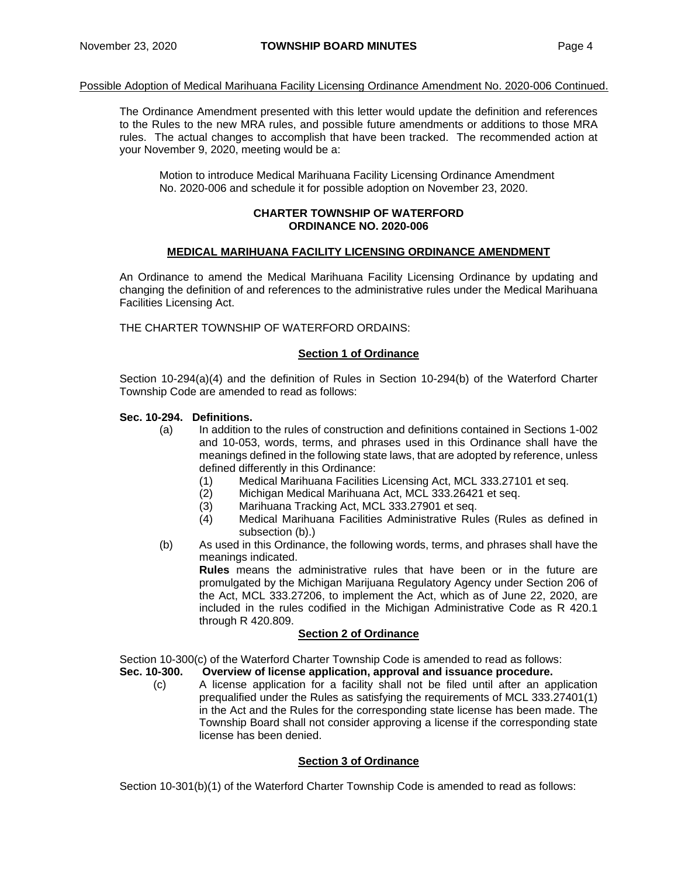#### Possible Adoption of Medical Marihuana Facility Licensing Ordinance Amendment No. 2020-006 Continued.

The Ordinance Amendment presented with this letter would update the definition and references to the Rules to the new MRA rules, and possible future amendments or additions to those MRA rules. The actual changes to accomplish that have been tracked. The recommended action at your November 9, 2020, meeting would be a:

Motion to introduce Medical Marihuana Facility Licensing Ordinance Amendment No. 2020-006 and schedule it for possible adoption on November 23, 2020.

#### **CHARTER TOWNSHIP OF WATERFORD ORDINANCE NO. 2020-006**

# **MEDICAL MARIHUANA FACILITY LICENSING ORDINANCE AMENDMENT**

An Ordinance to amend the Medical Marihuana Facility Licensing Ordinance by updating and changing the definition of and references to the administrative rules under the Medical Marihuana Facilities Licensing Act.

THE CHARTER TOWNSHIP OF WATERFORD ORDAINS:

#### **Section 1 of Ordinance**

Section 10-294(a)(4) and the definition of Rules in Section 10-294(b) of the Waterford Charter Township Code are amended to read as follows:

#### **Sec. 10-294. Definitions.**

- (a) In addition to the rules of construction and definitions contained in Sections 1-002 and 10-053, words, terms, and phrases used in this Ordinance shall have the meanings defined in the following state laws, that are adopted by reference, unless defined differently in this Ordinance:
	- (1) Medical Marihuana Facilities Licensing Act, MCL 333.27101 et seq.
	- (2) Michigan Medical Marihuana Act, MCL 333.26421 et seq.
	- (3) Marihuana Tracking Act, MCL 333.27901 et seq.
	- (4) Medical Marihuana Facilities Administrative Rules (Rules as defined in subsection (b).)
- (b) As used in this Ordinance, the following words, terms, and phrases shall have the meanings indicated.

**Rules** means the administrative rules that have been or in the future are promulgated by the Michigan Marijuana Regulatory Agency under Section 206 of the Act, MCL 333.27206, to implement the Act, which as of June 22, 2020, are included in the rules codified in the Michigan Administrative Code as R 420.1 through R 420.809.

#### **Section 2 of Ordinance**

Section 10-300(c) of the Waterford Charter Township Code is amended to read as follows:

- **Sec. 10-300. Overview of license application, approval and issuance procedure.**
	- (c) A license application for a facility shall not be filed until after an application prequalified under the Rules as satisfying the requirements of MCL 333.27401(1) in the Act and the Rules for the corresponding state license has been made. The Township Board shall not consider approving a license if the corresponding state license has been denied.

#### **Section 3 of Ordinance**

Section 10-301(b)(1) of the Waterford Charter Township Code is amended to read as follows: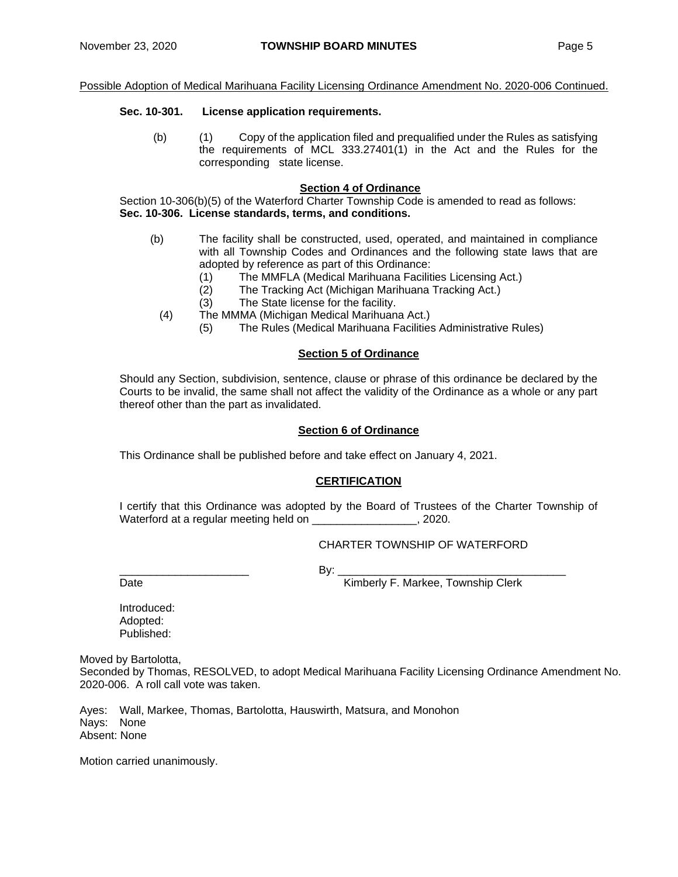#### **Sec. 10-301. License application requirements.**

(b) (1) Copy of the application filed and prequalified under the Rules as satisfying the requirements of MCL 333.27401(1) in the Act and the Rules for the corresponding state license.

#### **Section 4 of Ordinance**

Section 10-306(b)(5) of the Waterford Charter Township Code is amended to read as follows: **Sec. 10-306. License standards, terms, and conditions.**

- (b) The facility shall be constructed, used, operated, and maintained in compliance with all Township Codes and Ordinances and the following state laws that are adopted by reference as part of this Ordinance:
	- (1) The MMFLA (Medical Marihuana Facilities Licensing Act.)
	- (2) The Tracking Act (Michigan Marihuana Tracking Act.)
	- (3) The State license for the facility.
	- (4) The MMMA (Michigan Medical Marihuana Act.)
		- (5) The Rules (Medical Marihuana Facilities Administrative Rules)

# **Section 5 of Ordinance**

Should any Section, subdivision, sentence, clause or phrase of this ordinance be declared by the Courts to be invalid, the same shall not affect the validity of the Ordinance as a whole or any part thereof other than the part as invalidated.

#### **Section 6 of Ordinance**

This Ordinance shall be published before and take effect on January 4, 2021.

# **CERTIFICATION**

I certify that this Ordinance was adopted by the Board of Trustees of the Charter Township of Waterford at a regular meeting held on \_\_\_\_\_\_\_\_\_\_\_\_\_\_\_\_\_\_, 2020.

#### CHARTER TOWNSHIP OF WATERFORD

\_\_\_\_\_\_\_\_\_\_\_\_\_\_\_\_\_\_\_\_\_ By: \_\_\_\_\_\_\_\_\_\_\_\_\_\_\_\_\_\_\_\_\_\_\_\_\_\_\_\_\_\_\_\_\_\_\_\_\_

Date **Contract Contract Contract Contract Contract Contract Contract Contract Contract Contract Contract Contract Contract Contract Contract Contract Contract Contract Contract Contract Contract Contract Contract Contract** 

Introduced: Adopted: Published:

Moved by Bartolotta,

Seconded by Thomas, RESOLVED, to adopt Medical Marihuana Facility Licensing Ordinance Amendment No. 2020-006. A roll call vote was taken.

Ayes: Wall, Markee, Thomas, Bartolotta, Hauswirth, Matsura, and Monohon Nays: None Absent: None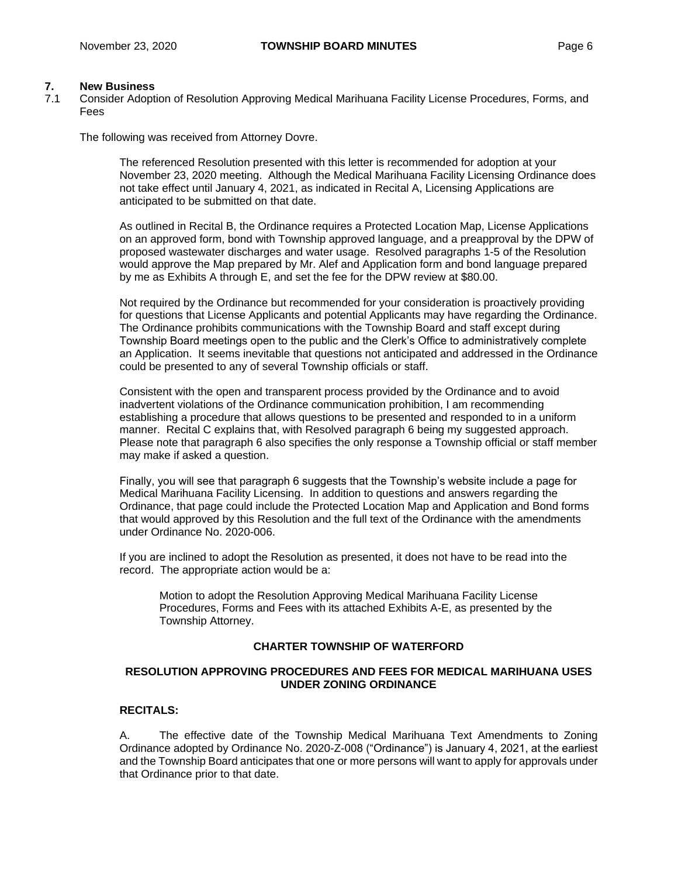# **7. New Business**

7.1 Consider Adoption of Resolution Approving Medical Marihuana Facility License Procedures, Forms, and Fees

The following was received from Attorney Dovre.

The referenced Resolution presented with this letter is recommended for adoption at your November 23, 2020 meeting. Although the Medical Marihuana Facility Licensing Ordinance does not take effect until January 4, 2021, as indicated in Recital A, Licensing Applications are anticipated to be submitted on that date.

As outlined in Recital B, the Ordinance requires a Protected Location Map, License Applications on an approved form, bond with Township approved language, and a preapproval by the DPW of proposed wastewater discharges and water usage. Resolved paragraphs 1-5 of the Resolution would approve the Map prepared by Mr. Alef and Application form and bond language prepared by me as Exhibits A through E, and set the fee for the DPW review at \$80.00.

Not required by the Ordinance but recommended for your consideration is proactively providing for questions that License Applicants and potential Applicants may have regarding the Ordinance. The Ordinance prohibits communications with the Township Board and staff except during Township Board meetings open to the public and the Clerk's Office to administratively complete an Application. It seems inevitable that questions not anticipated and addressed in the Ordinance could be presented to any of several Township officials or staff.

Consistent with the open and transparent process provided by the Ordinance and to avoid inadvertent violations of the Ordinance communication prohibition, I am recommending establishing a procedure that allows questions to be presented and responded to in a uniform manner. Recital C explains that, with Resolved paragraph 6 being my suggested approach. Please note that paragraph 6 also specifies the only response a Township official or staff member may make if asked a question.

Finally, you will see that paragraph 6 suggests that the Township's website include a page for Medical Marihuana Facility Licensing. In addition to questions and answers regarding the Ordinance, that page could include the Protected Location Map and Application and Bond forms that would approved by this Resolution and the full text of the Ordinance with the amendments under Ordinance No. 2020-006.

If you are inclined to adopt the Resolution as presented, it does not have to be read into the record. The appropriate action would be a:

Motion to adopt the Resolution Approving Medical Marihuana Facility License Procedures, Forms and Fees with its attached Exhibits A-E, as presented by the Township Attorney.

# **CHARTER TOWNSHIP OF WATERFORD**

# **RESOLUTION APPROVING PROCEDURES AND FEES FOR MEDICAL MARIHUANA USES UNDER ZONING ORDINANCE**

# **RECITALS:**

A. The effective date of the Township Medical Marihuana Text Amendments to Zoning Ordinance adopted by Ordinance No. 2020-Z-008 ("Ordinance") is January 4, 2021, at the earliest and the Township Board anticipates that one or more persons will want to apply for approvals under that Ordinance prior to that date.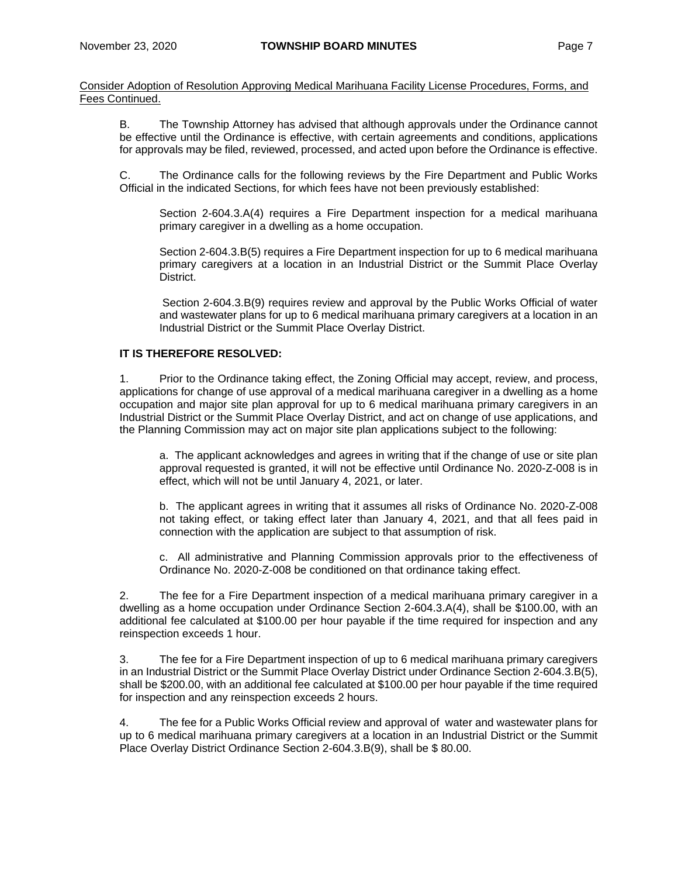Consider Adoption of Resolution Approving Medical Marihuana Facility License Procedures, Forms, and Fees Continued.

B. The Township Attorney has advised that although approvals under the Ordinance cannot be effective until the Ordinance is effective, with certain agreements and conditions, applications for approvals may be filed, reviewed, processed, and acted upon before the Ordinance is effective.

C. The Ordinance calls for the following reviews by the Fire Department and Public Works Official in the indicated Sections, for which fees have not been previously established:

Section 2-604.3.A(4) requires a Fire Department inspection for a medical marihuana primary caregiver in a dwelling as a home occupation.

Section 2-604.3.B(5) requires a Fire Department inspection for up to 6 medical marihuana primary caregivers at a location in an Industrial District or the Summit Place Overlay District.

Section 2-604.3.B(9) requires review and approval by the Public Works Official of water and wastewater plans for up to 6 medical marihuana primary caregivers at a location in an Industrial District or the Summit Place Overlay District.

# **IT IS THEREFORE RESOLVED:**

1. Prior to the Ordinance taking effect, the Zoning Official may accept, review, and process, applications for change of use approval of a medical marihuana caregiver in a dwelling as a home occupation and major site plan approval for up to 6 medical marihuana primary caregivers in an Industrial District or the Summit Place Overlay District, and act on change of use applications, and the Planning Commission may act on major site plan applications subject to the following:

a. The applicant acknowledges and agrees in writing that if the change of use or site plan approval requested is granted, it will not be effective until Ordinance No. 2020-Z-008 is in effect, which will not be until January 4, 2021, or later.

b. The applicant agrees in writing that it assumes all risks of Ordinance No. 2020-Z-008 not taking effect, or taking effect later than January 4, 2021, and that all fees paid in connection with the application are subject to that assumption of risk.

c. All administrative and Planning Commission approvals prior to the effectiveness of Ordinance No. 2020-Z-008 be conditioned on that ordinance taking effect.

2. The fee for a Fire Department inspection of a medical marihuana primary caregiver in a dwelling as a home occupation under Ordinance Section 2-604.3.A(4), shall be \$100.00, with an additional fee calculated at \$100.00 per hour payable if the time required for inspection and any reinspection exceeds 1 hour.

3. The fee for a Fire Department inspection of up to 6 medical marihuana primary caregivers in an Industrial District or the Summit Place Overlay District under Ordinance Section 2-604.3.B(5), shall be \$200.00, with an additional fee calculated at \$100.00 per hour payable if the time required for inspection and any reinspection exceeds 2 hours.

4. The fee for a Public Works Official review and approval of water and wastewater plans for up to 6 medical marihuana primary caregivers at a location in an Industrial District or the Summit Place Overlay District Ordinance Section 2-604.3.B(9), shall be \$ 80.00.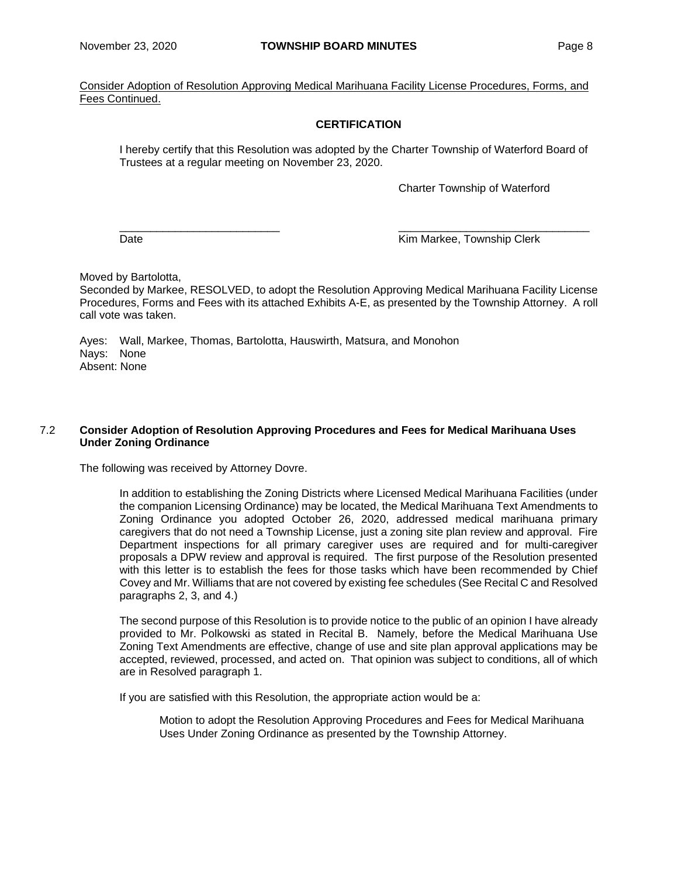Consider Adoption of Resolution Approving Medical Marihuana Facility License Procedures, Forms, and Fees Continued.

# **CERTIFICATION**

I hereby certify that this Resolution was adopted by the Charter Township of Waterford Board of Trustees at a regular meeting on November 23, 2020.

Charter Township of Waterford

 $\frac{\partial}{\partial x_i}$  , and the set of the set of the set of the set of the set of the set of the set of the set of the set of the set of the set of the set of the set of the set of the set of the set of the set of the set of the Date **Communist Clerk** Communist Communist Clerk Kim Markee, Township Clerk

Moved by Bartolotta,

Seconded by Markee, RESOLVED, to adopt the Resolution Approving Medical Marihuana Facility License Procedures, Forms and Fees with its attached Exhibits A-E, as presented by the Township Attorney. A roll call vote was taken.

Ayes: Wall, Markee, Thomas, Bartolotta, Hauswirth, Matsura, and Monohon Nays: None Absent: None

# 7.2 **Consider Adoption of Resolution Approving Procedures and Fees for Medical Marihuana Uses Under Zoning Ordinance**

The following was received by Attorney Dovre.

In addition to establishing the Zoning Districts where Licensed Medical Marihuana Facilities (under the companion Licensing Ordinance) may be located, the Medical Marihuana Text Amendments to Zoning Ordinance you adopted October 26, 2020, addressed medical marihuana primary caregivers that do not need a Township License, just a zoning site plan review and approval. Fire Department inspections for all primary caregiver uses are required and for multi-caregiver proposals a DPW review and approval is required. The first purpose of the Resolution presented with this letter is to establish the fees for those tasks which have been recommended by Chief Covey and Mr. Williams that are not covered by existing fee schedules (See Recital C and Resolved paragraphs 2, 3, and 4.)

The second purpose of this Resolution is to provide notice to the public of an opinion I have already provided to Mr. Polkowski as stated in Recital B. Namely, before the Medical Marihuana Use Zoning Text Amendments are effective, change of use and site plan approval applications may be accepted, reviewed, processed, and acted on. That opinion was subject to conditions, all of which are in Resolved paragraph 1.

If you are satisfied with this Resolution, the appropriate action would be a:

Motion to adopt the Resolution Approving Procedures and Fees for Medical Marihuana Uses Under Zoning Ordinance as presented by the Township Attorney.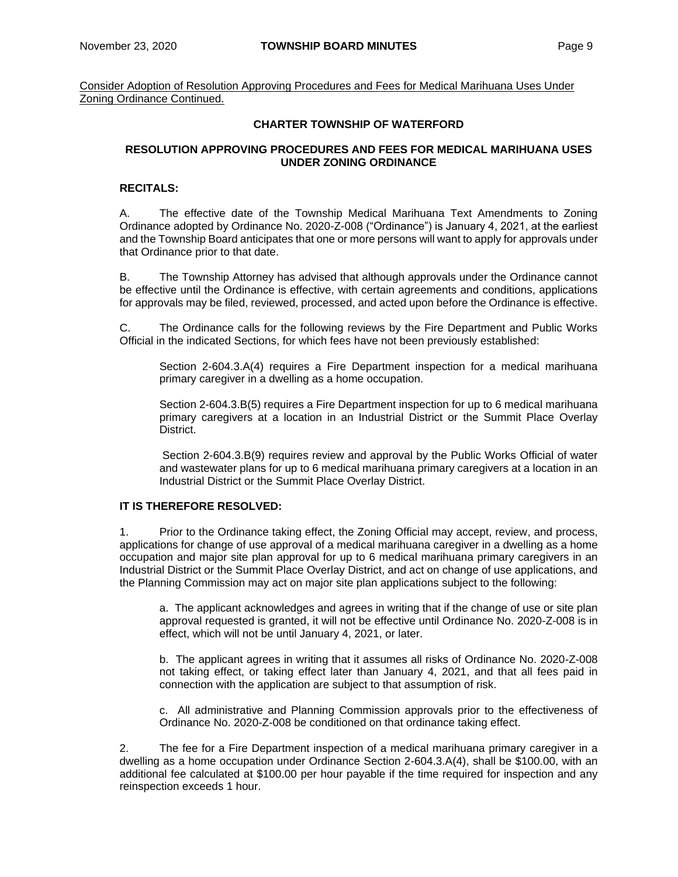Consider Adoption of Resolution Approving Procedures and Fees for Medical Marihuana Uses Under Zoning Ordinance Continued.

# **CHARTER TOWNSHIP OF WATERFORD**

# **RESOLUTION APPROVING PROCEDURES AND FEES FOR MEDICAL MARIHUANA USES UNDER ZONING ORDINANCE**

# **RECITALS:**

A. The effective date of the Township Medical Marihuana Text Amendments to Zoning Ordinance adopted by Ordinance No. 2020-Z-008 ("Ordinance") is January 4, 2021, at the earliest and the Township Board anticipates that one or more persons will want to apply for approvals under that Ordinance prior to that date.

B. The Township Attorney has advised that although approvals under the Ordinance cannot be effective until the Ordinance is effective, with certain agreements and conditions, applications for approvals may be filed, reviewed, processed, and acted upon before the Ordinance is effective.

C. The Ordinance calls for the following reviews by the Fire Department and Public Works Official in the indicated Sections, for which fees have not been previously established:

Section 2-604.3.A(4) requires a Fire Department inspection for a medical marihuana primary caregiver in a dwelling as a home occupation.

Section 2-604.3.B(5) requires a Fire Department inspection for up to 6 medical marihuana primary caregivers at a location in an Industrial District or the Summit Place Overlay District.

Section 2-604.3.B(9) requires review and approval by the Public Works Official of water and wastewater plans for up to 6 medical marihuana primary caregivers at a location in an Industrial District or the Summit Place Overlay District.

# **IT IS THEREFORE RESOLVED:**

1. Prior to the Ordinance taking effect, the Zoning Official may accept, review, and process, applications for change of use approval of a medical marihuana caregiver in a dwelling as a home occupation and major site plan approval for up to 6 medical marihuana primary caregivers in an Industrial District or the Summit Place Overlay District, and act on change of use applications, and the Planning Commission may act on major site plan applications subject to the following:

a. The applicant acknowledges and agrees in writing that if the change of use or site plan approval requested is granted, it will not be effective until Ordinance No. 2020-Z-008 is in effect, which will not be until January 4, 2021, or later.

b. The applicant agrees in writing that it assumes all risks of Ordinance No. 2020-Z-008 not taking effect, or taking effect later than January 4, 2021, and that all fees paid in connection with the application are subject to that assumption of risk.

c. All administrative and Planning Commission approvals prior to the effectiveness of Ordinance No. 2020-Z-008 be conditioned on that ordinance taking effect.

2. The fee for a Fire Department inspection of a medical marihuana primary caregiver in a dwelling as a home occupation under Ordinance Section 2-604.3.A(4), shall be \$100.00, with an additional fee calculated at \$100.00 per hour payable if the time required for inspection and any reinspection exceeds 1 hour.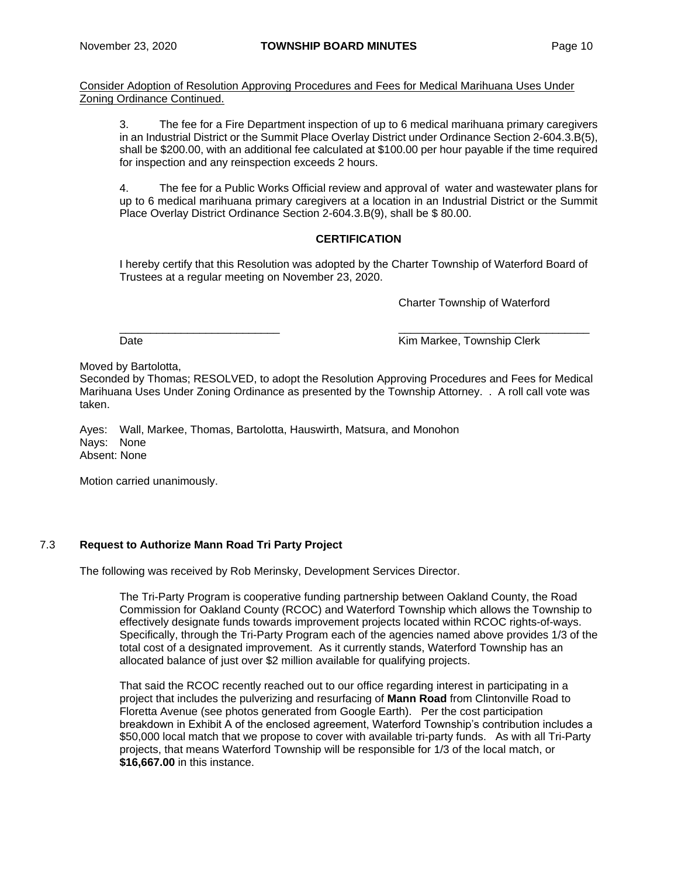Consider Adoption of Resolution Approving Procedures and Fees for Medical Marihuana Uses Under Zoning Ordinance Continued.

3. The fee for a Fire Department inspection of up to 6 medical marihuana primary caregivers in an Industrial District or the Summit Place Overlay District under Ordinance Section 2-604.3.B(5), shall be \$200.00, with an additional fee calculated at \$100.00 per hour payable if the time required for inspection and any reinspection exceeds 2 hours.

4. The fee for a Public Works Official review and approval of water and wastewater plans for up to 6 medical marihuana primary caregivers at a location in an Industrial District or the Summit Place Overlay District Ordinance Section 2-604.3.B(9), shall be \$ 80.00.

# **CERTIFICATION**

I hereby certify that this Resolution was adopted by the Charter Township of Waterford Board of Trustees at a regular meeting on November 23, 2020.

Charter Township of Waterford

 $\frac{\partial}{\partial x_i}$  , and the set of the set of the set of the set of the set of the set of the set of the set of the set of the set of the set of the set of the set of the set of the set of the set of the set of the set of the

Date **Contract Contract Contract Contract Contract Contract Contract Contract Contract Contract Contract Contract Contract Contract Contract Contract Contract Contract Contract Contract Contract Contract Contract Contract** 

Moved by Bartolotta,

Seconded by Thomas; RESOLVED, to adopt the Resolution Approving Procedures and Fees for Medical Marihuana Uses Under Zoning Ordinance as presented by the Township Attorney. . A roll call vote was taken.

Ayes: Wall, Markee, Thomas, Bartolotta, Hauswirth, Matsura, and Monohon Nays: None Absent: None

Motion carried unanimously.

# 7.3 **Request to Authorize Mann Road Tri Party Project**

The following was received by Rob Merinsky, Development Services Director.

The Tri-Party Program is cooperative funding partnership between Oakland County, the Road Commission for Oakland County (RCOC) and Waterford Township which allows the Township to effectively designate funds towards improvement projects located within RCOC rights-of-ways. Specifically, through the Tri-Party Program each of the agencies named above provides 1/3 of the total cost of a designated improvement. As it currently stands, Waterford Township has an allocated balance of just over \$2 million available for qualifying projects.

That said the RCOC recently reached out to our office regarding interest in participating in a project that includes the pulverizing and resurfacing of **Mann Road** from Clintonville Road to Floretta Avenue (see photos generated from Google Earth). Per the cost participation breakdown in Exhibit A of the enclosed agreement, Waterford Township's contribution includes a \$50,000 local match that we propose to cover with available tri-party funds. As with all Tri-Party projects, that means Waterford Township will be responsible for 1/3 of the local match, or **\$16,667.00** in this instance.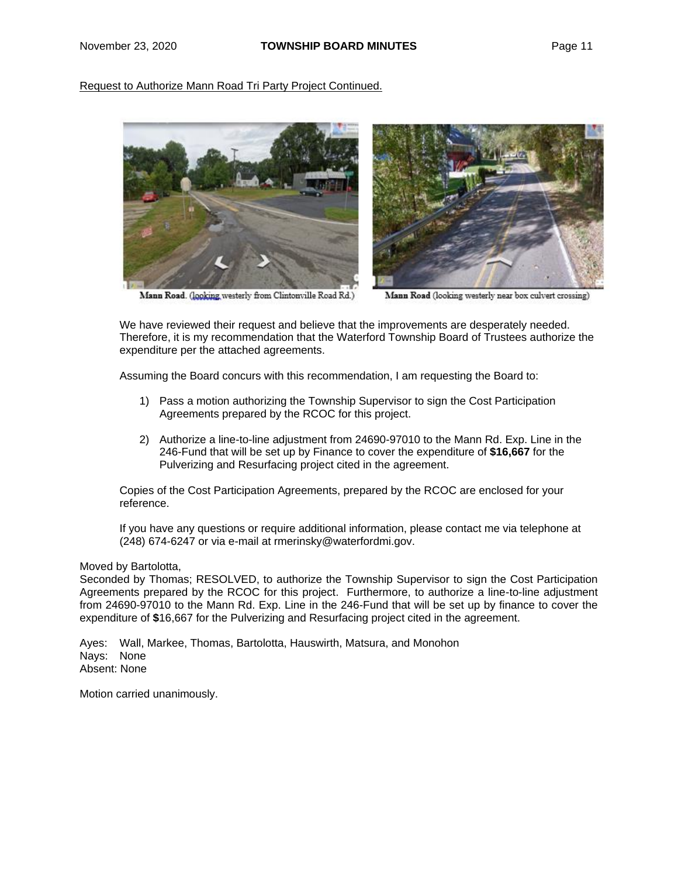Request to Authorize Mann Road Tri Party Project Continued.



Mann Road. (looking westerly from Clintonville Road Rd.)

Mann Road (looking westerly near box culvert crossing)

We have reviewed their request and believe that the improvements are desperately needed. Therefore, it is my recommendation that the Waterford Township Board of Trustees authorize the expenditure per the attached agreements.

Assuming the Board concurs with this recommendation, I am requesting the Board to:

- 1) Pass a motion authorizing the Township Supervisor to sign the Cost Participation Agreements prepared by the RCOC for this project.
- 2) Authorize a line-to-line adjustment from 24690-97010 to the Mann Rd. Exp. Line in the 246-Fund that will be set up by Finance to cover the expenditure of **\$16,667** for the Pulverizing and Resurfacing project cited in the agreement.

Copies of the Cost Participation Agreements, prepared by the RCOC are enclosed for your reference.

If you have any questions or require additional information, please contact me via telephone at (248) 674-6247 or via e-mail at [rmerinsky@waterfordmi.gov.](mailto:rmerinsky@waterfordmi.gov.)

#### Moved by Bartolotta,

Seconded by Thomas; RESOLVED, to authorize the Township Supervisor to sign the Cost Participation Agreements prepared by the RCOC for this project. Furthermore, to authorize a line-to-line adjustment from 24690-97010 to the Mann Rd. Exp. Line in the 246-Fund that will be set up by finance to cover the expenditure of **\$**16,667 for the Pulverizing and Resurfacing project cited in the agreement.

Ayes: Wall, Markee, Thomas, Bartolotta, Hauswirth, Matsura, and Monohon Nays: None Absent: None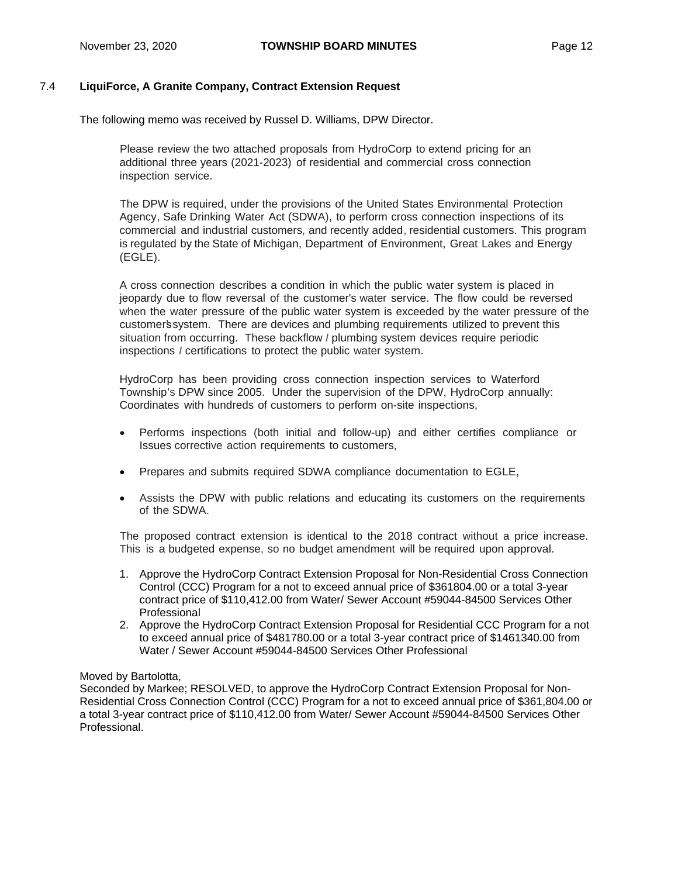# 7.4 **LiquiForce, A Granite Company, Contract Extension Request**

The following memo was received by Russel D. Williams, DPW Director.

Please review the two attached proposals from HydroCorp to extend pricing for an additional three years (2021-2023) of residential and commercial cross connection inspection service.

The DPW is required, under the provisions of the United States Environmental Protection Agency, Safe Drinking Water Act (SDWA), to perform cross connection inspections of its commercial and industrial customers, and recently added, residential customers. This program is regulated by the State of Michigan, Department of Environment, Great Lakes and Energy (EGLE).

A cross connection describes a condition in which the public water system is placed in jeopardy due to flow reversal of the customer's water service. The flow could be reversed when the water pressure of the public water system is exceeded by the water pressure of the customer'ssystem. There are devices and plumbing requirements utilized to prevent this situation from occurring. These backflow *I* plumbing system devices require periodic inspections *I* certifications to protect the public water system.

HydroCorp has been providing cross connection inspection services to Waterford Township's DPW since 2005. Under the supervision of the DPW, HydroCorp annually: Coordinates with hundreds of customers to perform on-site inspections,

- Performs inspections (both initial and follow-up) and either certifies compliance or Issues corrective action requirements to customers,
- Prepares and submits required SDWA compliance documentation to EGLE,
- Assists the DPW with public relations and educating its customers on the requirements of the SDWA.

The proposed contract extension is identical to the 2018 contract without a price increase. This is a budgeted expense, so no budget amendment will be required upon approval.

- 1. Approve the HydroCorp Contract Extension Proposal for Non-Residential Cross Connection Control (CCC) Program for a not to exceed annual price of \$361804.00 or a total 3-year contract price of \$110,412.00 from Water/ Sewer Account #59044-84500 Services Other Professional
- 2. Approve the HydroCorp Contract Extension Proposal for Residential CCC Program for a not to exceed annual price of \$481780.00 or a total 3-year contract price of \$1461340.00 from Water / Sewer Account #59044-84500 Services Other Professional

#### Moved by Bartolotta,

Seconded by Markee; RESOLVED, to approve the HydroCorp Contract Extension Proposal for Non-Residential Cross Connection Control (CCC) Program for a not to exceed annual price of \$361,804.00 or a total 3-year contract price of \$110,412.00 from Water/ Sewer Account #59044-84500 Services Other Professional.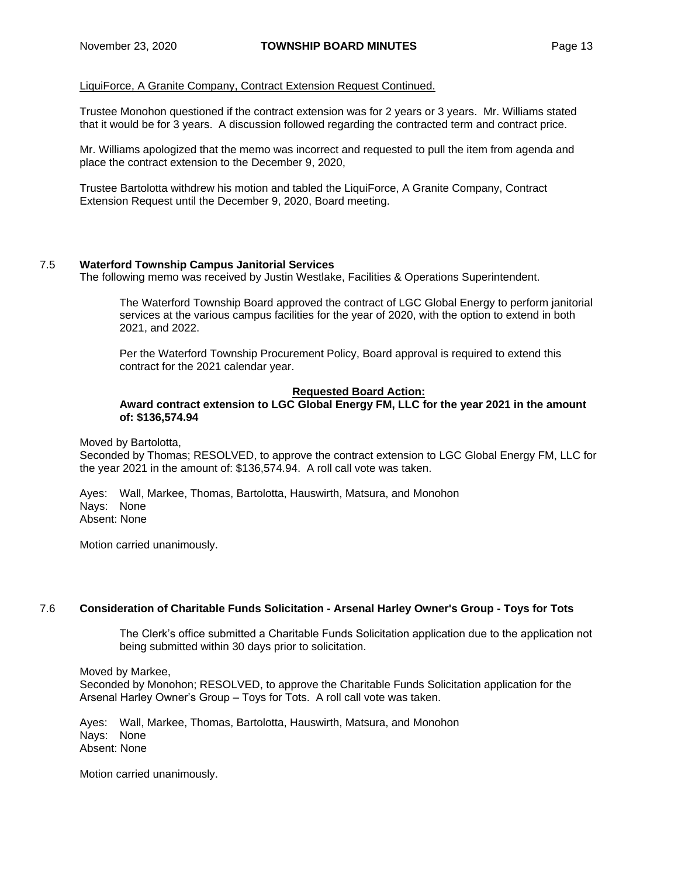# LiquiForce, A Granite Company, Contract Extension Request Continued.

Trustee Monohon questioned if the contract extension was for 2 years or 3 years. Mr. Williams stated that it would be for 3 years. A discussion followed regarding the contracted term and contract price.

Mr. Williams apologized that the memo was incorrect and requested to pull the item from agenda and place the contract extension to the December 9, 2020,

Trustee Bartolotta withdrew his motion and tabled the LiquiForce, A Granite Company, Contract Extension Request until the December 9, 2020, Board meeting.

# 7.5 **Waterford Township Campus Janitorial Services**

The following memo was received by Justin Westlake, Facilities & Operations Superintendent.

The Waterford Township Board approved the contract of LGC Global Energy to perform janitorial services at the various campus facilities for the year of 2020, with the option to extend in both 2021, and 2022.

Per the Waterford Township Procurement Policy, Board approval is required to extend this contract for the 2021 calendar year.

#### **Requested Board Action:**

# **Award contract extension to LGC Global Energy FM, LLC for the year 2021 in the amount of: \$136,574.94**

Moved by Bartolotta,

Seconded by Thomas; RESOLVED, to approve the contract extension to LGC Global Energy FM, LLC for the year 2021 in the amount of: \$136,574.94. A roll call vote was taken.

Ayes: Wall, Markee, Thomas, Bartolotta, Hauswirth, Matsura, and Monohon Nays: None Absent: None

Motion carried unanimously.

# 7.6 **Consideration of Charitable Funds Solicitation - Arsenal Harley Owner's Group - Toys for Tots**

The Clerk's office submitted a Charitable Funds Solicitation application due to the application not being submitted within 30 days prior to solicitation.

Moved by Markee, Seconded by Monohon; RESOLVED, to approve the Charitable Funds Solicitation application for the Arsenal Harley Owner's Group – Toys for Tots. A roll call vote was taken.

Ayes: Wall, Markee, Thomas, Bartolotta, Hauswirth, Matsura, and Monohon Nays: None Absent: None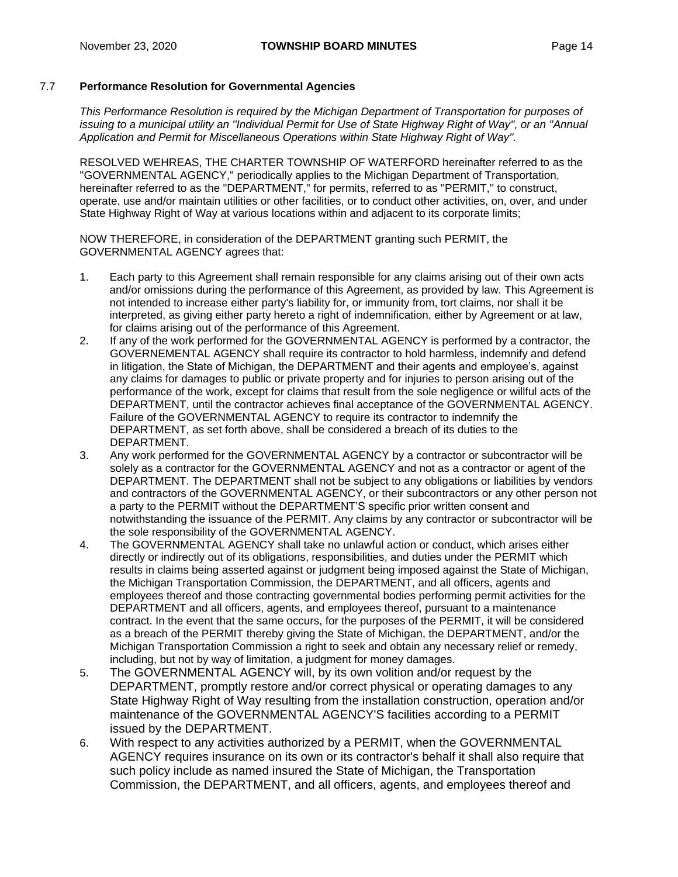# 7.7 **Performance Resolution for Governmental Agencies**

*This Performance Resolution is required by the Michigan Department of Transportation for purposes of issuing to a municipal utility an ''Individual Permit for Use of State Highway Right of Way'', or an ''Annual Application and Permit for Miscellaneous Operations within State Highway Right of Way''.*

RESOLVED WEHREAS, THE CHARTER TOWNSHIP OF WATERFORD hereinafter referred to as the ''GOVERNMENTAL AGENCY,'' periodically applies to the Michigan Department of Transportation, hereinafter referred to as the "DEPARTMENT," for permits, referred to as ''PERMIT,'' to construct, operate, use and/or maintain utilities or other facilities, or to conduct other activities, on, over, and under State Highway Right of Way at various locations within and adjacent to its corporate limits;

NOW THEREFORE, in consideration of the DEPARTMENT granting such PERMIT, the GOVERNMENTAL AGENCY agrees that:

- 1. Each party to this Agreement shall remain responsible for any claims arising out of their own acts and/or omissions during the performance of this Agreement, as provided by law. This Agreement is not intended to increase either party's liability for, or immunity from, tort claims, nor shall it be interpreted, as giving either party hereto a right of indemnification, either by Agreement or at law, for claims arising out of the performance of this Agreement.
- 2. If any of the work performed for the GOVERNMENTAL AGENCY is performed by a contractor, the GOVERNEMENTAL AGENCY shall require its contractor to hold harmless, indemnify and defend in litigation, the State of Michigan, the DEPARTMENT and their agents and employee's, against any claims for damages to public or private property and for injuries to person arising out of the performance of the work, except for claims that result from the sole negligence or willful acts of the DEPARTMENT, until the contractor achieves final acceptance of the GOVERNMENTAL AGENCY. Failure of the GOVERNMENTAL AGENCY to require its contractor to indemnify the DEPARTMENT, as set forth above, shall be considered a breach of its duties to the DEPARTMENT.
- 3. Any work performed for the GOVERNMENTAL AGENCY by a contractor or subcontractor will be solely as a contractor for the GOVERNMENTAL AGENCY and not as a contractor or agent of the DEPARTMENT. The DEPARTMENT shall not be subject to any obligations or liabilities by vendors and contractors of the GOVERNMENTAL AGENCY, or their subcontractors or any other person not a party to the PERMIT without the DEPARTMENT'S specific prior written consent and notwithstanding the issuance of the PERMIT. Any claims by any contractor or subcontractor will be the sole responsibility of the GOVERNMENTAL AGENCY.
- 4. The GOVERNMENTAL AGENCY shall take no unlawful action or conduct, which arises either directly or indirectly out of its obligations, responsibilities, and duties under the PERMIT which results in claims being asserted against or judgment being imposed against the State of Michigan, the Michigan Transportation Commission, the DEPARTMENT, and all officers, agents and employees thereof and those contracting governmental bodies performing permit activities for the DEPARTMENT and all officers, agents, and employees thereof, pursuant to a maintenance contract. In the event that the same occurs, for the purposes of the PERMIT, it will be considered as a breach of the PERMIT thereby giving the State of Michigan, the DEPARTMENT, and/or the Michigan Transportation Commission a right to seek and obtain any necessary relief or remedy, including, but not by way of limitation, a judgment for money damages.
- 5. The GOVERNMENTAL AGENCY will, by its own volition and/or request by the DEPARTMENT, promptly restore and/or correct physical or operating damages to any State Highway Right of Way resulting from the installation construction, operation and/or maintenance of the GOVERNMENTAL AGENCY'S facilities according to a PERMIT issued by the DEPARTMENT.
- 6. With respect to any activities authorized by a PERMIT, when the GOVERNMENTAL AGENCY requires insurance on its own or its contractor's behalf it shall also require that such policy include as named insured the State of Michigan, the Transportation Commission, the DEPARTMENT, and all officers, agents, and employees thereof and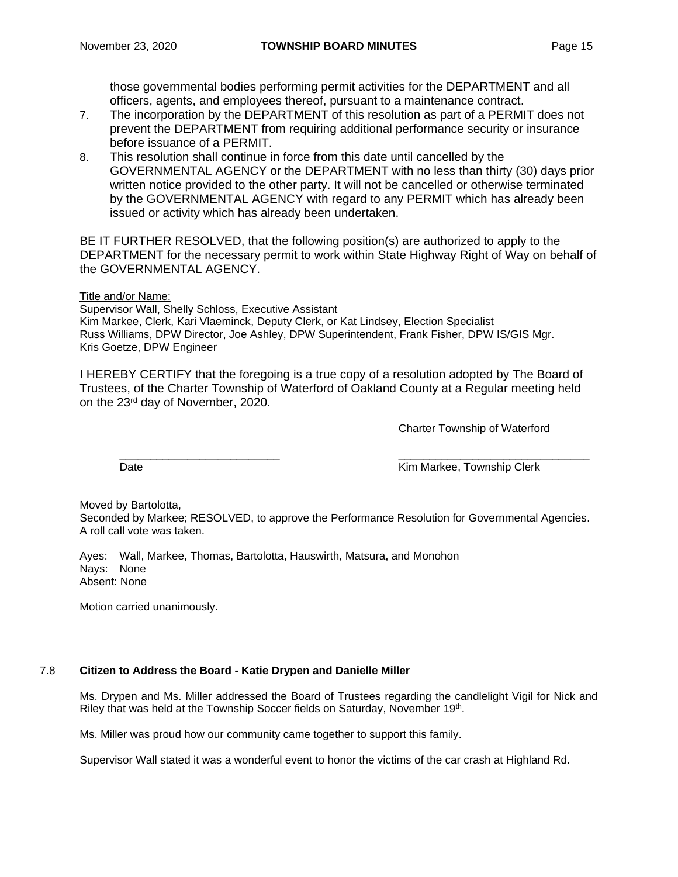those governmental bodies performing permit activities for the DEPARTMENT and all officers, agents, and employees thereof, pursuant to a maintenance contract.

- 7. The incorporation by the DEPARTMENT of this resolution as part of a PERMIT does not prevent the DEPARTMENT from requiring additional performance security or insurance before issuance of a PERMIT.
- 8. This resolution shall continue in force from this date until cancelled by the GOVERNMENTAL AGENCY or the DEPARTMENT with no less than thirty (30) days prior written notice provided to the other party. It will not be cancelled or otherwise terminated by the GOVERNMENTAL AGENCY with regard to any PERMIT which has already been issued or activity which has already been undertaken.

BE IT FURTHER RESOLVED, that the following position(s) are authorized to apply to the DEPARTMENT for the necessary permit to work within State Highway Right of Way on behalf of the GOVERNMENTAL AGENCY.

Title and/or Name:

Supervisor Wall, Shelly Schloss, Executive Assistant Kim Markee, Clerk, Kari Vlaeminck, Deputy Clerk, or Kat Lindsey, Election Specialist Russ Williams, DPW Director, Joe Ashley, DPW Superintendent, Frank Fisher, DPW IS/GIS Mgr. Kris Goetze, DPW Engineer

I HEREBY CERTIFY that the foregoing is a true copy of a resolution adopted by The Board of Trustees, of the Charter Township of Waterford of Oakland County at a Regular meeting held on the 23rd day of November, 2020.

Charter Township of Waterford

\_\_\_\_\_\_\_\_\_\_\_\_\_\_\_\_\_\_\_\_\_\_\_\_\_\_ \_\_\_\_\_\_\_\_\_\_\_\_\_\_\_\_\_\_\_\_\_\_\_\_\_\_\_\_\_\_\_ Date **Contract Contract Contract Contract Contract Contract Contract Contract Contract Contract Contract Contract Contract Contract Contract Contract Contract Contract Contract Contract Contract Contract Contract Contract** 

Moved by Bartolotta,

Seconded by Markee; RESOLVED, to approve the Performance Resolution for Governmental Agencies. A roll call vote was taken.

Ayes: Wall, Markee, Thomas, Bartolotta, Hauswirth, Matsura, and Monohon Nays: None Absent: None

Motion carried unanimously.

# 7.8 **Citizen to Address the Board - Katie Drypen and Danielle Miller**

Ms. Drypen and Ms. Miller addressed the Board of Trustees regarding the candlelight Vigil for Nick and Riley that was held at the Township Soccer fields on Saturday, November 19<sup>th</sup>.

Ms. Miller was proud how our community came together to support this family.

Supervisor Wall stated it was a wonderful event to honor the victims of the car crash at Highland Rd.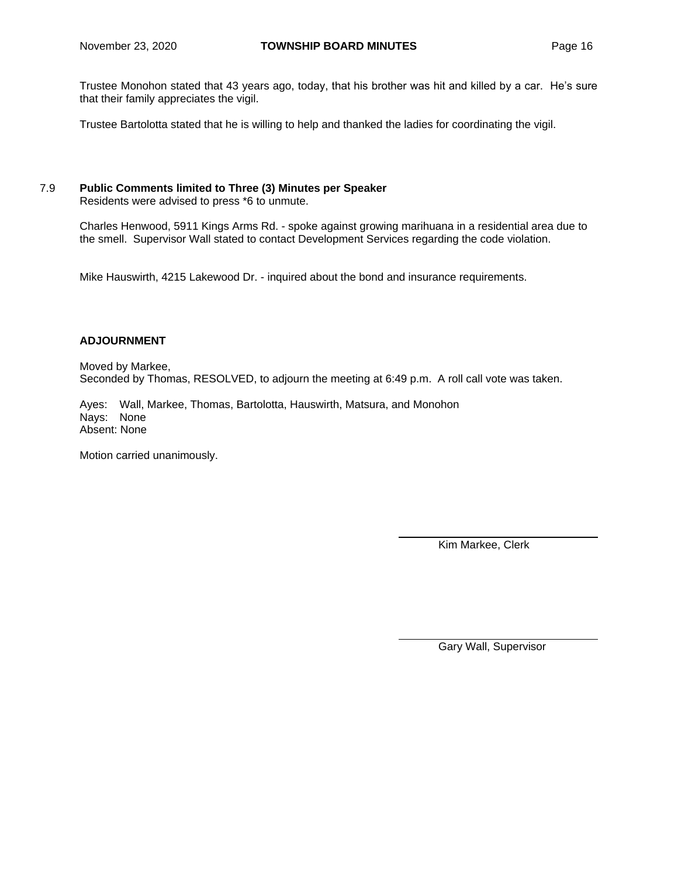Trustee Monohon stated that 43 years ago, today, that his brother was hit and killed by a car. He's sure that their family appreciates the vigil.

Trustee Bartolotta stated that he is willing to help and thanked the ladies for coordinating the vigil.

# 7.9 **Public Comments limited to Three (3) Minutes per Speaker**

Residents were advised to press \*6 to unmute.

Charles Henwood, 5911 Kings Arms Rd. - spoke against growing marihuana in a residential area due to the smell. Supervisor Wall stated to contact Development Services regarding the code violation.

Mike Hauswirth, 4215 Lakewood Dr. - inquired about the bond and insurance requirements.

# **ADJOURNMENT**

Moved by Markee, Seconded by Thomas, RESOLVED, to adjourn the meeting at 6:49 p.m. A roll call vote was taken.

Ayes: Wall, Markee, Thomas, Bartolotta, Hauswirth, Matsura, and Monohon Nays: None Absent: None

Motion carried unanimously.

Kim Markee, Clerk

Gary Wall, Supervisor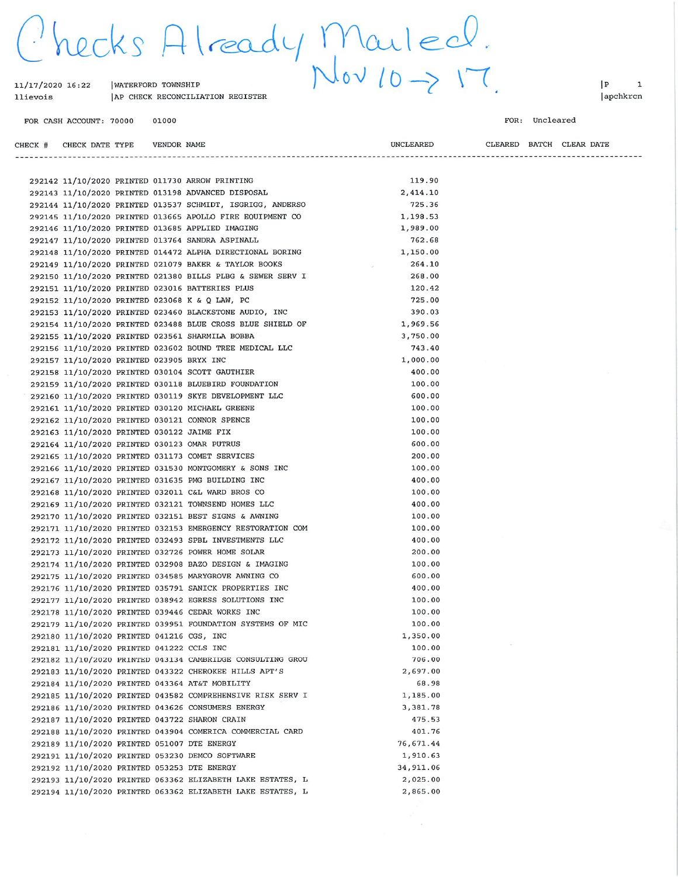hecks Already Mailed.

| 11/17/2020 16:22<br>llievois | WATERFORD TOWNSHIP | AP CHECK RECONCILIATION REGISTER |
|------------------------------|--------------------|----------------------------------|
| FOR CASH ACCOUNT: 70000      | 01000              |                                  |

 $|P|$  $\mathbf 1$ apchkrcn

#### FOR: Uncleared

CLEARED BATCH CLEAR DATE CHECK # CHECK DATE TYPE **VENDOR NAME UNCLEARED** --------------------------------------119.90 292142 11/10/2020 PRINTED 011730 ARROW PRINTING 2,414.10 292143 11/10/2020 PRINTED 013198 ADVANCED DISPOSAL 725.36 292144 11/10/2020 PRINTED 013537 SCHMIDT, ISGRIGG, ANDERSO 292145 11/10/2020 PRINTED 013665 APOLLO FIRE EQUIPMENT CO 1,198.53 292146 11/10/2020 PRINTED 013685 APPLIED IMAGING 1,989.00 292147 11/10/2020 PRINTED 013764 SANDRA ASPINALL 762.68

|  |                                            |  | 292148 11/10/2020 PRINTED 014472 ALPHA DIRECTIONAL BORING  | 1,150.00                           |
|--|--------------------------------------------|--|------------------------------------------------------------|------------------------------------|
|  |                                            |  | 292149 11/10/2020 PRINTED 021079 BAKER & TAYLOR BOOKS      | 264.10<br>$\overline{\phantom{a}}$ |
|  |                                            |  | 292150 11/10/2020 PRINTED 021380 BILLS PLBG & SEWER SERV I | 268.00                             |
|  |                                            |  | 292151 11/10/2020 PRINTED 023016 BATTERIES PLUS            | 120.42                             |
|  |                                            |  | 292152 11/10/2020 PRINTED 023068 K & Q LAW, PC             | 725.00                             |
|  |                                            |  | 292153 11/10/2020 PRINTED 023460 BLACKSTONE AUDIO, INC     | 390.03                             |
|  |                                            |  | 292154 11/10/2020 PRINTED 023488 BLUE CROSS BLUE SHIELD OF | 1,969.56                           |
|  |                                            |  | 292155 11/10/2020 PRINTED 023561 SHARMILA BOBBA            | 3,750.00                           |
|  |                                            |  | 292156 11/10/2020 PRINTED 023602 BOUND TREE MEDICAL LLC    | 743.40                             |
|  | 292157 11/10/2020 PRINTED 023905 BRYX INC  |  |                                                            | 1,000.00                           |
|  |                                            |  | 292158 11/10/2020 PRINTED 030104 SCOTT GAUTHIER            | 400.00                             |
|  |                                            |  | 292159 11/10/2020 PRINTED 030118 BLUEBIRD FOUNDATION       | 100.00                             |
|  |                                            |  | 292160 11/10/2020 PRINTED 030119 SKYE DEVELOPMENT LLC      | 600.00                             |
|  |                                            |  | 292161 11/10/2020 PRINTED 030120 MICHAEL GREENE            | 100.00                             |
|  |                                            |  | 292162 11/10/2020 PRINTED 030121 CONNOR SPENCE             | 100.00                             |
|  | 292163 11/10/2020 PRINTED 030122 JAIME FIX |  |                                                            | 100.00                             |
|  |                                            |  | 292164 11/10/2020 PRINTED 030123 OMAR PUTRUS               | 600.00                             |
|  |                                            |  | 292165 11/10/2020 PRINTED 031173 COMET SERVICES            | 200.00                             |
|  |                                            |  | 292166 11/10/2020 PRINTED 031530 MONTGOMERY & SONS INC     | 100.00                             |
|  |                                            |  | 292167 11/10/2020 PRINTED 031635 PMG BUILDING INC          | 400.00                             |
|  |                                            |  | 292168 11/10/2020 PRINTED 032011 C&L WARD BROS CO          | 100.00                             |
|  |                                            |  | 292169 11/10/2020 PRINTED 032121 TOWNSEND HOMES LLC        | 400.00                             |
|  |                                            |  | 292170 11/10/2020 PRINTED 032151 BEST SIGNS & AWNING       | 100.00                             |
|  |                                            |  | 292171 11/10/2020 PRINTED 032153 EMERGENCY RESTORATION COM | 100.00                             |
|  |                                            |  | 292172 11/10/2020 PRINTED 032493 SPBL INVESTMENTS LLC      | 400.00                             |
|  |                                            |  | 292173 11/10/2020 PRINTED 032726 POWER HOME SOLAR          | 200.00                             |
|  |                                            |  | 292174 11/10/2020 PRINTED 032908 BAZO DESIGN & IMAGING     | 100.00                             |
|  |                                            |  | 292175 11/10/2020 PRINTED 034585 MARYGROVE AWNING CO       | 600.00                             |
|  |                                            |  | 292176 11/10/2020 PRINTED 035791 SANICK PROPERTIES INC     | 400.00                             |
|  |                                            |  | 292177 11/10/2020 PRINTED 038942 EGRESS SOLUTIONS INC      | 100.00                             |
|  |                                            |  | 292178 11/10/2020 PRINTED 039446 CEDAR WORKS INC           | 100.00                             |
|  |                                            |  | 292179 11/10/2020 PRINTED 039951 FOUNDATION SYSTEMS OF MIC | 100.00                             |
|  | 292180 11/10/2020 PRINTED 041216 CGS, INC  |  |                                                            | 1,350.00                           |
|  | 292181 11/10/2020 PRINTED 041222 CCLS INC  |  |                                                            | 100.00                             |
|  |                                            |  | 292182 11/10/2020 PRINTED 043134 CAMBRIDGE CONSULTING GROU | 706.00                             |
|  |                                            |  | 292183 11/10/2020 PRINTED 043322 CHEROKEE HILLS APT'S      | 2,697.00                           |
|  |                                            |  | 292184 11/10/2020 PRINTED 043364 AT&T MOBILITY             | 68.98                              |
|  |                                            |  | 292185 11/10/2020 PRINTED 043582 COMPREHENSIVE RISK SERV I | 1,185.00                           |
|  |                                            |  | 292186 11/10/2020 PRINTED 043626 CONSUMERS ENERGY          | 3,381.78                           |
|  |                                            |  | 292187 11/10/2020 PRINTED 043722 SHARON CRAIN              | 475.53                             |
|  |                                            |  | 292188 11/10/2020 PRINTED 043904 COMERICA COMMERCIAL CARD  | 401.76                             |
|  |                                            |  | 292189 11/10/2020 PRINTED 051007 DTE ENERGY                | 76,671.44                          |
|  |                                            |  | 292191 11/10/2020 PRINTED 053230 DEMCO SOFTWARE            | 1,910.63                           |
|  |                                            |  | 292192 11/10/2020 PRINTED 053253 DTE ENERGY                | 34,911.06                          |
|  |                                            |  | 292193 11/10/2020 PRINTED 063362 ELIZABETH LAKE ESTATES, L | 2,025.00                           |
|  |                                            |  | 292194 11/10/2020 PRINTED 063362 ELIZABETH LAKE ESTATES, L | 2,865.00                           |
|  |                                            |  |                                                            |                                    |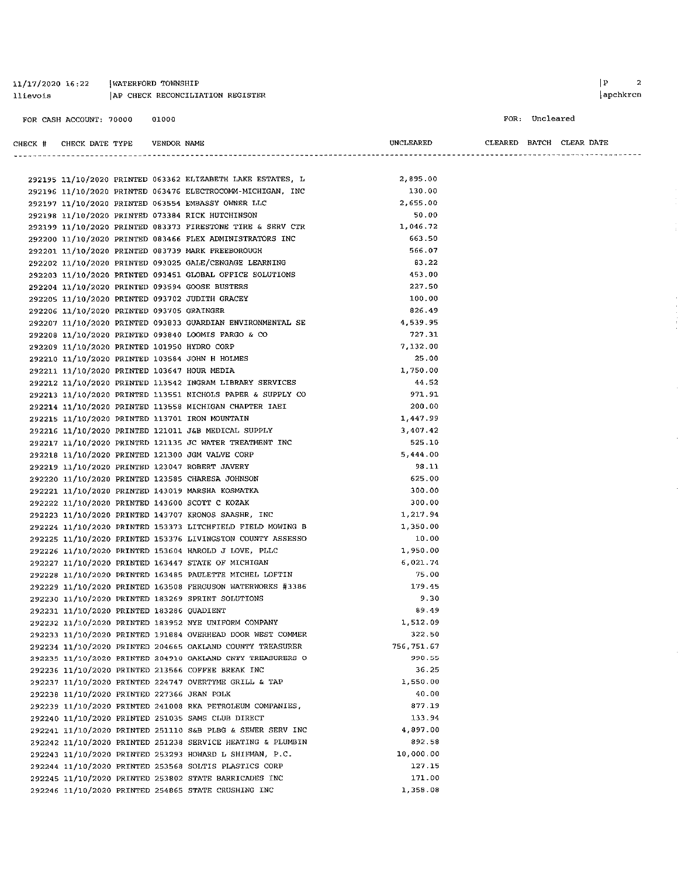$11/17/2020$   $16:22$  [WATERFORD TOWNSHIP AP CHECK RECONCILIATION REGISTER llievois

 $|apchkren$ 

```
FOR: Uncleared
```

| CHECK # CHECK DATE TYPE    VENDOR NAME      |  |                                                            | UNCLEARED   | CLEARED BATCH CLEAR DATE |  |  |
|---------------------------------------------|--|------------------------------------------------------------|-------------|--------------------------|--|--|
|                                             |  |                                                            |             |                          |  |  |
|                                             |  | 292195 11/10/2020 PRINTED 063362 ELIZABETH LAKE ESTATES, L | 2,895.00    |                          |  |  |
|                                             |  | 292196 11/10/2020 PRINTED 063476 ELECTROCOMM-MICHIGAN, INC | 130.00      |                          |  |  |
|                                             |  | 292197 11/10/2020 PRINTED 063554 EMBASSY OWNER LLC         | 2,655.00    |                          |  |  |
|                                             |  | 292198 11/10/2020 PRINTED 073384 RICK HUTCHINSON           | 50.00       |                          |  |  |
|                                             |  | 292199 11/10/2020 PRINTED 083373 FIRESTONE TIRE & SERV CTR | 1,046.72    |                          |  |  |
|                                             |  | 292200 11/10/2020 PRINTED 083466 FLEX ADMINISTRATORS INC   | 663.50      |                          |  |  |
|                                             |  | 292201 11/10/2020 PRINTED 083739 MARK FREEBOROUGH          | 566.07      |                          |  |  |
|                                             |  | 292202 11/10/2020 PRINTED 093025 GALE/CENGAGE LEARNING     | 83.22       |                          |  |  |
|                                             |  | 292203 11/10/2020 PRINTED 093451 GLOBAL OFFICE SOLUTIONS   | 453.00      |                          |  |  |
|                                             |  | 292204 11/10/2020 PRINTED 093594 GOOSE BUSTERS             | 227.50      |                          |  |  |
|                                             |  | 292205 11/10/2020 PRINTED 093702 JUDITH GRACEY             | 100.00      |                          |  |  |
| 292206 11/10/2020 PRINTED 093705 GRAINGER   |  |                                                            | 826.49      |                          |  |  |
|                                             |  | 292207 11/10/2020 PRINTED 093833 GUARDIAN ENVIRONMENTAL SE | 4,539.95    |                          |  |  |
|                                             |  | 292208 11/10/2020 PRINTED 093840 LOOMIS FARGO & CO         | 727.31      |                          |  |  |
| 292209 11/10/2020 PRINTED 101950 HYDRO CORP |  |                                                            | 7.132.00    |                          |  |  |
|                                             |  | 292210 11/10/2020 PRINTED 103584 JOHN H HOLMES             | 25.00       |                          |  |  |
| 292211 11/10/2020 PRINTED 103647 HOUR MEDIA |  |                                                            | 1,750.00    |                          |  |  |
|                                             |  | 292212 11/10/2020 PRINTED 113542 INGRAM LIBRARY SERVICES   | 44.52       |                          |  |  |
|                                             |  | 292213 11/10/2020 PRINTED 113551 NICHOLS PAPER & SUPPLY CO | 971.91      |                          |  |  |
|                                             |  | 292214 11/10/2020 PRINTED 113558 MICHIGAN CHAPTER IAEI     | 200.00      |                          |  |  |
|                                             |  | 292215 11/10/2020 PRINTED 113701 IRON MOUNTAIN             | 1.447.99    |                          |  |  |
|                                             |  | 292216 11/10/2020 PRINTED 121011 J&B MEDICAL SUPPLY        | 3.407.42    |                          |  |  |
|                                             |  | 292217 11/10/2020 PRINTED 121135 JC WATER TREATMENT INC    | 525.10      |                          |  |  |
|                                             |  | 292218 11/10/2020 PRINTED 121300 JGM VALVE CORP            | 5,444.00    |                          |  |  |
|                                             |  | 292219 11/10/2020 PRINTED 123047 ROBERT JAVERY             | 98.11       |                          |  |  |
|                                             |  | 292220 11/10/2020 PRINTED 123585 CHARESA JOHNSON           | 625.00      |                          |  |  |
|                                             |  | 292221 11/10/2020 PRINTED 143019 MARSHA KOSMATKA           | 300.00      |                          |  |  |
|                                             |  | 292222 11/10/2020 PRINTED 143600 SCOTT C KOZAK             | 300.00      |                          |  |  |
|                                             |  | 292223 11/10/2020 PRINTED 143707 KRONOS SAASHR, INC        | 1, 217.94   |                          |  |  |
|                                             |  | 292224 11/10/2020 PRINTED 153373 LITCHFIELD FIELD MOWING B | 1,350.00    |                          |  |  |
|                                             |  | 292225 11/10/2020 PRINTED 153376 LIVINGSTON COUNTY ASSESSO | 10.00       |                          |  |  |
|                                             |  | 292226 11/10/2020 PRINTED 153604 HAROLD J LOVE, PLLC       | 1,950.00    |                          |  |  |
|                                             |  | 292227 11/10/2020 PRINTED 163447 STATE OF MICHIGAN         | 6 021 74    |                          |  |  |
|                                             |  | 292228 11/10/2020 PRINTED 163485 PAULETTE MICHEL LOFTIN    | 75.00       |                          |  |  |
|                                             |  | 292229 11/10/2020 PRINTED 163508 FERGUSON WATERWORKS #3386 | 179.45      |                          |  |  |
|                                             |  | 292230 11/10/2020 PRINTED 183269 SPRINT SOLUTIONS          | 9.30        |                          |  |  |
| 292231 11/10/2020 PRINTED 183286 QUADIENT   |  |                                                            | 89.49       |                          |  |  |
|                                             |  | 292232 11/10/2020 PRINTED 183952 NYE UNIFORM COMPANY       | 1 512.09    |                          |  |  |
|                                             |  | 292233 11/10/2020 PRINTED 191884 OVERHEAD DOOR WEST COMMER | 322.50      |                          |  |  |
|                                             |  | 292234 11/10/2020 PRINTED 204665 OAKLAND COUNTY TREASURER  | 756, 751.67 |                          |  |  |
|                                             |  | 292235 11/10/2020 PRINTED 204910 OAKLAND CNTY TREASURERS O | 990.55      |                          |  |  |
|                                             |  | 292236 11/10/2020 PRINTED 213566 COFFEE BREAK INC          | 36.25       |                          |  |  |
|                                             |  | 292237 11/10/2020 PRINTED 224747 OVERTYME GRILL & TAP      | 1,550.00    |                          |  |  |
| 292238 11/10/2020 PRINTED 227366 JEAN POLK  |  |                                                            | 40.00       |                          |  |  |
|                                             |  | 292239 11/10/2020 PRINTED 241008 RKA PETROLEUM COMPANIES,  | 877.19      |                          |  |  |
|                                             |  | 292240 11/10/2020 PRINTED 251035 SAMS CLUB DIRECT          | 133.94      |                          |  |  |
|                                             |  | 292241 11/10/2020 PRINTED 251110 S&B PLBG & SEWER SERV INC | 4.897.00    |                          |  |  |
|                                             |  | 292242 11/10/2020 PRINTED 251238 SERVICE HEATING & PLUMBIN | 892.58      |                          |  |  |
|                                             |  | 292243 11/10/2020 PRINTED 253293 HOWARD L SHIFMAN, P.C.    | 10,000.00   |                          |  |  |
|                                             |  | 292244 11/10/2020 PRINTED 253568 SOLTIS PLASTICS CORP      | 127.15      |                          |  |  |
|                                             |  | 292245 11/10/2020 PRINTED 253802 STATE BARRICADES INC      | 171.00      |                          |  |  |
|                                             |  | 292246 11/10/2020 PRINTED 254865 STATE CRUSHING INC        | 1,358.08    |                          |  |  |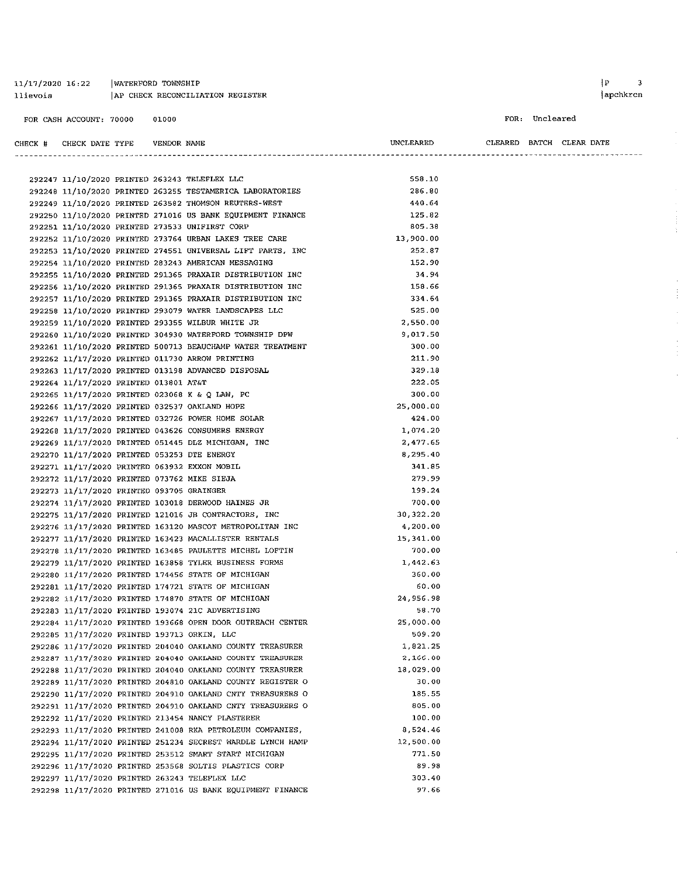| 11/17/2020 16:22 | WATERFORD TOWNSHIP               |
|------------------|----------------------------------|
| llievois         | AP CHECK RECONCILIATION REGISTER |

#### FOR: Uncleared

| CHECK # | CHECK DATE TYPE | VENDOR NAME                                   | UNCLEARED | CLEARED | BATCH CLEAR DATE |
|---------|-----------------|-----------------------------------------------|-----------|---------|------------------|
|         |                 |                                               |           |         |                  |
|         |                 | 292247 11/10/2020 PRINTED 263243 TELEFLEX LLC | 558.10    |         |                  |

|  |                                             |  | 292248 11/10/2020 PRINTED 263255 TESTAMERICA LABORATORIES  | 286.80    |
|--|---------------------------------------------|--|------------------------------------------------------------|-----------|
|  |                                             |  | 292249 11/10/2020 PRINTED 263582 THOMSON REUTERS-WEST      | 440.64    |
|  |                                             |  | 292250 11/10/2020 PRINTED 271016 US BANK EQUIPMENT FINANCE | 125.82    |
|  |                                             |  | 292251 11/10/2020 PRINTED 273533 UNIFIRST CORP             | 805.38    |
|  |                                             |  | 292252 11/10/2020 PRINTED 273764 URBAN LAKES TREE CARE     | 13,900.00 |
|  |                                             |  | 292253 11/10/2020 PRINTED 274551 UNIVERSAL LIFT PARTS, INC | 252.87    |
|  |                                             |  | 292254 11/10/2020 PRINTED 283243 AMERICAN MESSAGING        | 152.90    |
|  |                                             |  | 292255 11/10/2020 PRINTED 291365 PRAXAIR DISTRIBUTION INC  | 34.94     |
|  |                                             |  | 292256 11/10/2020 PRINTED 291365 PRAXAIR DISTRIBUTION INC  | 158.66    |
|  |                                             |  | 292257 11/10/2020 PRINTED 291365 PRAXAIR DISTRIBUTION INC  | 334.64    |
|  |                                             |  | 292258 11/10/2020 PRINTED 293079 WATER LANDSCAPES LLC      | 525.00    |
|  |                                             |  | 292259 11/10/2020 PRINTED 293355 WILBUR WHITE JR           | 2,550.00  |
|  |                                             |  | 292260 11/10/2020 PRINTED 304930 WATERFORD TOWNSHIP DPW    | 9.017.50  |
|  |                                             |  | 292261 11/10/2020 PRINTED 500713 BEAUCHAMP WATER TREATMENT | 300.00    |
|  |                                             |  | 292262 11/17/2020 PRINTED 011730 ARROW PRINTING            | 211.90    |
|  |                                             |  | 292263 11/17/2020 PRINTED 013198 ADVANCED DISPOSAL         | 329.18    |
|  | 292264 11/17/2020 PRINTED 013801 AT&T       |  |                                                            | 222.05    |
|  |                                             |  | 292265 11/17/2020 PRINTED 023068 K & Q LAW, PC             | 300.00    |
|  |                                             |  | 292266 11/17/2020 PRINTED 032537 OAKLAND HOPE              | 25,000.00 |
|  |                                             |  | 292267 11/17/2020 PRINTED 032726 POWER HOME SOLAR          | 424.00    |
|  |                                             |  | 292268 11/17/2020 PRINTED 043626 CONSUMERS ENERGY          | 1.074.20  |
|  |                                             |  | 292269 11/17/2020 PRINTED 051445 DLZ MICHIGAN, INC         | 2.477.65  |
|  | 292270 11/17/2020 PRINTED 053253 DTE ENERGY |  |                                                            | 8,295.40  |
|  |                                             |  | 292271 11/17/2020 PRINTED 063932 EXXON MOBIL               | 341.85    |
|  | 292272 11/17/2020 PRINTED 073762 MIKE SIEJA |  |                                                            | 279.99    |
|  | 292273 11/17/2020 PRINTED 093705 GRAINGER   |  |                                                            | 199.24    |
|  |                                             |  | 292274 11/17/2020 PRINTED 103018 DERWOOD HAINES JR         | 700.00    |
|  |                                             |  | 292275 11/17/2020 PRINTED 121016 JB CONTRACTORS, INC       | 30,322.20 |
|  |                                             |  | 292276 11/17/2020 PRINTED 163120 MASCOT METROPOLITAN INC   | 4,200.00  |
|  |                                             |  | 292277 11/17/2020 PRINTED 163423 MACALLISTER RENTALS       | 15,341.00 |
|  |                                             |  | 292278 11/17/2020 PRINTED 163485 PAULETTE MICHEL LOFTIN    | 700.00    |
|  |                                             |  | 292279 11/17/2020 PRINTED 163858 TYLER BUSINESS FORMS      | 1 442 63  |
|  |                                             |  | 292280 11/17/2020 PRINTED 174456 STATE OF MICHIGAN         | 360.00    |
|  |                                             |  | 292281 11/17/2020 PRINTED 174721 STATE OF MICHIGAN         | 60.00     |
|  |                                             |  | 292282 11/17/2020 PRINTED 174870 STATE OF MICHIGAN         | 24,956.98 |
|  |                                             |  | 292283 11/17/2020 PRINTED 193074 21C ADVERTISING           | 58.70     |
|  |                                             |  | 292284 11/17/2020 PRINTED 193668 OPEN DOOR OUTREACH CENTER | 25,000.00 |
|  | 292285 11/17/2020 PRINTED 193713 ORKIN, LLC |  |                                                            | 509.20    |
|  |                                             |  | 292286 11/17/2020 PRINTED 204040 OAKLAND COUNTY TREASURER  | 1,821.25  |
|  |                                             |  | 292287 11/17/2020 PRINTED 204040 OAKLAND COUNTY TREASURER  | 2,166.00  |
|  |                                             |  | 292288 11/17/2020 PRINTED 204040 OAKLAND COUNTY TREASURER  | 18,029.00 |
|  |                                             |  | 292289 11/17/2020 PRINTED 204810 OAKLAND COUNTY REGISTER O | 30.00     |
|  |                                             |  | 292290 11/17/2020 PRINTED 204910 OAKLAND CNTY TREASURERS O | 185.55    |
|  |                                             |  | 292291 11/17/2020 PRINTED 204910 OAKLAND CNTY TREASURERS O | 805.00    |
|  |                                             |  | 292292 11/17/2020 PRINTED 213454 NANCY PLASTERER           | 100.00    |
|  |                                             |  | 292293 11/17/2020 PRINTED 241008 RKA PETROLEUM COMPANIES,  | 8.524.46  |
|  |                                             |  | 292294 11/17/2020 PRINTED 251234 SECREST WARDLE LYNCH HAMP | 12,500.00 |
|  |                                             |  | 292295 11/17/2020 PRINTED 253512 SMART START MICHIGAN      | 771.50    |
|  |                                             |  | 292296 11/17/2020 PRINTED 253568 SOLTIS PLASTICS CORP      | 89.98     |
|  |                                             |  | 292297 11/17/2020 PRINTED 263243 TELEFLEX LLC              | 303.40    |
|  |                                             |  | 292298 11/17/2020 PRINTED 271016 US BANK EQUIPMENT FINANCE | 97.66     |
|  |                                             |  |                                                            |           |